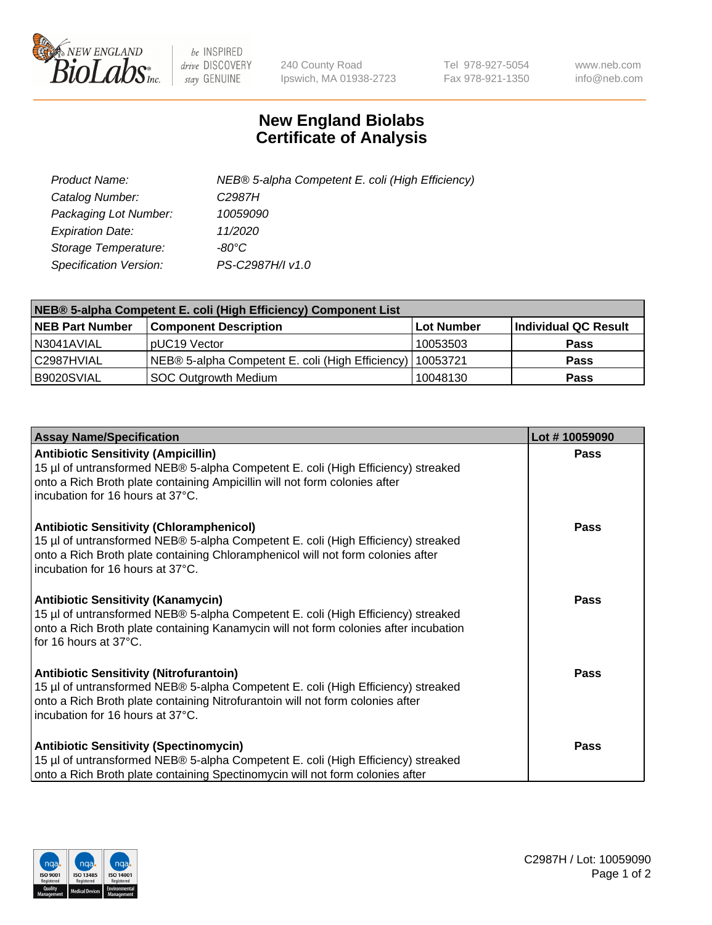

 $be$  INSPIRED drive DISCOVERY stay GENUINE

240 County Road Ipswich, MA 01938-2723 Tel 978-927-5054 Fax 978-921-1350 www.neb.com info@neb.com

## **New England Biolabs Certificate of Analysis**

| Product Name:           | NEB® 5-alpha Competent E. coli (High Efficiency) |
|-------------------------|--------------------------------------------------|
| Catalog Number:         | C <sub>2987</sub> H                              |
| Packaging Lot Number:   | 10059090                                         |
| <b>Expiration Date:</b> | 11/2020                                          |
| Storage Temperature:    | -80°C                                            |
| Specification Version:  | PS-C2987H/I v1.0                                 |

| NEB® 5-alpha Competent E. coli (High Efficiency) Component List |                                                             |                   |                      |  |
|-----------------------------------------------------------------|-------------------------------------------------------------|-------------------|----------------------|--|
| <b>NEB Part Number</b>                                          | <b>Component Description</b>                                | <b>Lot Number</b> | Individual QC Result |  |
| N3041AVIAL                                                      | pUC19 Vector                                                | 10053503          | <b>Pass</b>          |  |
| C2987HVIAL                                                      | NEB® 5-alpha Competent E. coli (High Efficiency)   10053721 |                   | <b>Pass</b>          |  |
| B9020SVIAL                                                      | SOC Outgrowth Medium                                        | 10048130          | <b>Pass</b>          |  |

| <b>Assay Name/Specification</b>                                                                                                                                                                                                                            | Lot #10059090 |
|------------------------------------------------------------------------------------------------------------------------------------------------------------------------------------------------------------------------------------------------------------|---------------|
| <b>Antibiotic Sensitivity (Ampicillin)</b><br>15 µl of untransformed NEB® 5-alpha Competent E. coli (High Efficiency) streaked<br>onto a Rich Broth plate containing Ampicillin will not form colonies after<br>incubation for 16 hours at 37°C.           | <b>Pass</b>   |
| <b>Antibiotic Sensitivity (Chloramphenicol)</b><br>15 µl of untransformed NEB® 5-alpha Competent E. coli (High Efficiency) streaked<br>onto a Rich Broth plate containing Chloramphenicol will not form colonies after<br>incubation for 16 hours at 37°C. | Pass          |
| Antibiotic Sensitivity (Kanamycin)<br>15 µl of untransformed NEB® 5-alpha Competent E. coli (High Efficiency) streaked<br>onto a Rich Broth plate containing Kanamycin will not form colonies after incubation<br>for 16 hours at 37°C.                    | Pass          |
| <b>Antibiotic Sensitivity (Nitrofurantoin)</b><br>15 µl of untransformed NEB® 5-alpha Competent E. coli (High Efficiency) streaked<br>onto a Rich Broth plate containing Nitrofurantoin will not form colonies after<br>incubation for 16 hours at 37°C.   | <b>Pass</b>   |
| <b>Antibiotic Sensitivity (Spectinomycin)</b><br>15 µl of untransformed NEB® 5-alpha Competent E. coli (High Efficiency) streaked<br>onto a Rich Broth plate containing Spectinomycin will not form colonies after                                         | Pass          |